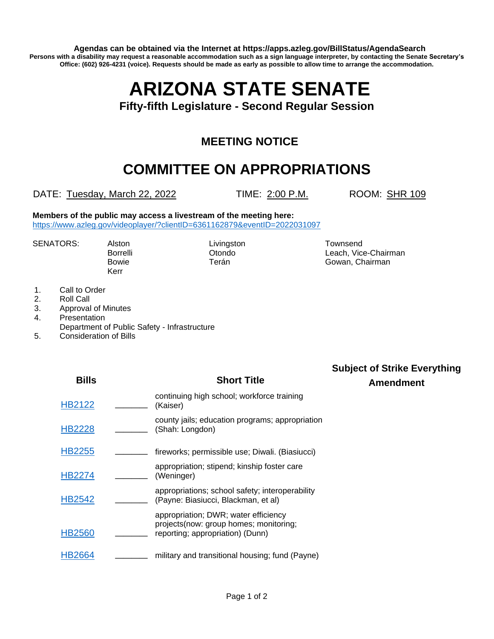**Agendas can be obtained via the Internet at https://apps.azleg.gov/BillStatus/AgendaSearch Persons with a disability may request a reasonable accommodation such as a sign language interpreter, by contacting the Senate Secretary's Office: (602) 926-4231 (voice). Requests should be made as early as possible to allow time to arrange the accommodation.**

# **ARIZONA STATE SENATE**

**Fifty-fifth Legislature - Second Regular Session**

## **MEETING NOTICE**

## **COMMITTEE ON APPROPRIATIONS**

DATE: Tuesday, March 22, 2022 TIME: 2:00 P.M. ROOM: SHR 109

**Members of the public may access a livestream of the meeting here:**  <https://www.azleg.gov/videoplayer/?clientID=6361162879&eventID=2022031097>

SENATORS: Alston Livingston Livingston Townsend<br>Borrelli Dtondo Condo Leach, Vic

Kerr

Leach, Vice-Chairman Bowie **Terán** Terán Gowan, Chairman

- 1. Call to Order
- 2. Roll Call
- 3. Approval of Minutes
- 4. Presentation
- Department of Public Safety Infrastructure
- 5. Consideration of Bills

| <b>Bills</b>  |          | <b>Short Title</b>                                                                                                  | <b>Subject of Strike Everything</b><br><b>Amendment</b> |
|---------------|----------|---------------------------------------------------------------------------------------------------------------------|---------------------------------------------------------|
| <b>HB2122</b> | (Kaiser) | continuing high school; workforce training                                                                          |                                                         |
| <b>HB2228</b> |          | county jails; education programs; appropriation<br>(Shah: Longdon)                                                  |                                                         |
| <b>HB2255</b> |          | fireworks; permissible use; Diwali. (Biasiucci)                                                                     |                                                         |
| <b>HB2274</b> |          | appropriation; stipend; kinship foster care<br>(Weninger)                                                           |                                                         |
| <b>HB2542</b> |          | appropriations; school safety; interoperability<br>(Payne: Biasiucci, Blackman, et al)                              |                                                         |
| <b>HB2560</b> |          | appropriation; DWR; water efficiency<br>projects (now: group homes; monitoring;<br>reporting; appropriation) (Dunn) |                                                         |
| <b>HB2664</b> |          | military and transitional housing; fund (Payne)                                                                     |                                                         |